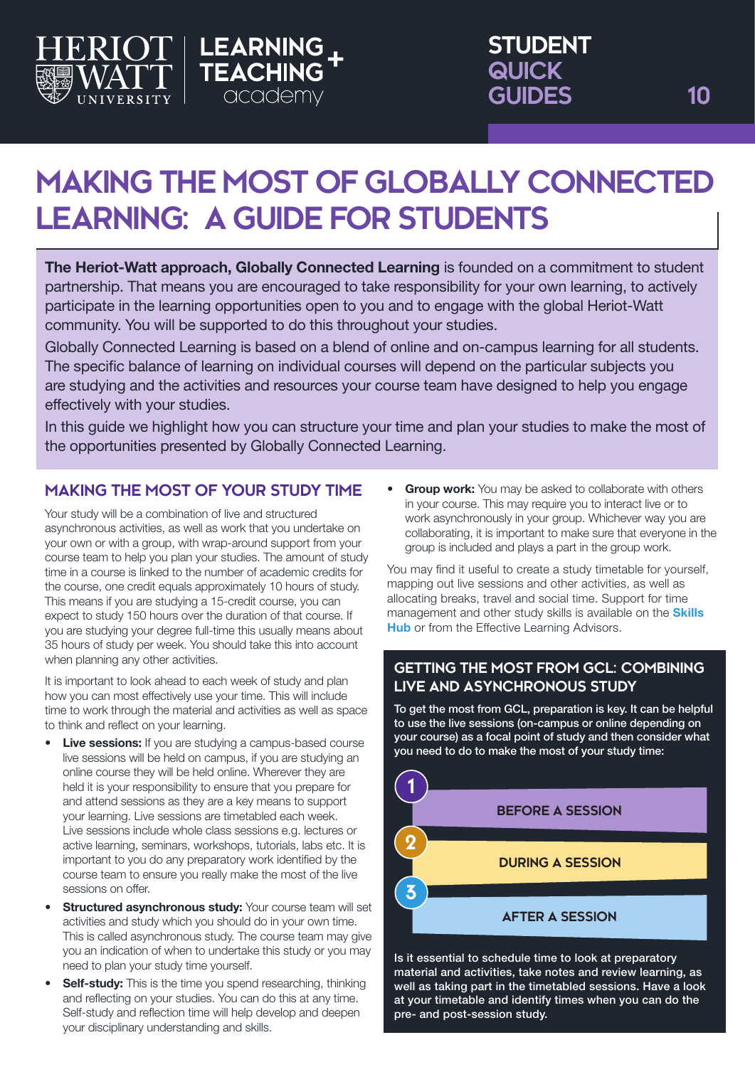

# **MAKING THE MOST OF GLOBALLY CONNECTED LEARNING: A GUIDE FOR STUDENTS**

academy

The Heriot-Watt approach, Globally Connected Learning is founded on a commitment to student partnership. That means you are encouraged to take responsibility for your own learning, to actively participate in the learning opportunities open to you and to engage with the global Heriot-Watt community. You will be supported to do this throughout your studies.

Globally Connected Learning is based on a blend of online and on-campus learning for all students. The specific balance of learning on individual courses will depend on the particular subjects you are studying and the activities and resources your course team have designed to help you engage effectively with your studies.

In this guide we highlight how you can structure your time and plan your studies to make the most of the opportunities presented by Globally Connected Learning.

## **MAKING THE MOST OF YOUR STUDY TIME**

Your study will be a combination of live and structured asynchronous activities, as well as work that you undertake on your own or with a group, with wrap-around support from your course team to help you plan your studies. The amount of study time in a course is linked to the number of academic credits for the course, one credit equals approximately 10 hours of study. This means if you are studying a 15-credit course, you can expect to study 150 hours over the duration of that course. If you are studying your degree full-time this usually means about 35 hours of study per week. You should take this into account when planning any other activities.

It is important to look ahead to each week of study and plan how you can most effectively use your time. This will include time to work through the material and activities as well as space to think and reflect on your learning.

- **Live sessions:** If you are studying a campus-based course live sessions will be held on campus, if you are studying an online course they will be held online. Wherever they are held it is your responsibility to ensure that you prepare for and attend sessions as they are a key means to support your learning. Live sessions are timetabled each week. Live sessions include whole class sessions e.g. lectures or active learning, seminars, workshops, tutorials, labs etc. It is important to you do any preparatory work identified by the course team to ensure you really make the most of the live sessions on offer.
- **Structured asynchronous study: Your course team will set** activities and study which you should do in your own time. This is called asynchronous study. The course team may give you an indication of when to undertake this study or you may need to plan your study time yourself.
- **Self-study:** This is the time you spend researching, thinking and reflecting on your studies. You can do this at any time. Self-study and reflection time will help develop and deepen your disciplinary understanding and skills.

• Group work: You may be asked to collaborate with others in your course. This may require you to interact live or to work asynchronously in your group. Whichever way you are collaborating, it is important to make sure that everyone in the group is included and plays a part in the group work.

You may find it useful to create a study timetable for yourself, mapping out live sessions and other activities, as well as allocating breaks, travel and social time. Support for time management and other study skills is available on the **Skills [Hub](https://heriotwatt.sharepoint.com/sites/skillshub)** or from the Effective Learning Advisors.

## **GETTING THE MOST FROM GCL: COMBINING LIVE AND ASYNCHRONOUS STUDY**

To get the most from GCL, preparation is key. It can be helpful to use the live sessions (on-campus or online depending on your course) as a focal point of study and then consider what you need to do to make the most of your study time:



material and activities, take notes and review learning, as well as taking part in the timetabled sessions. Have a look at your timetable and identify times when you can do the pre- and post-session study.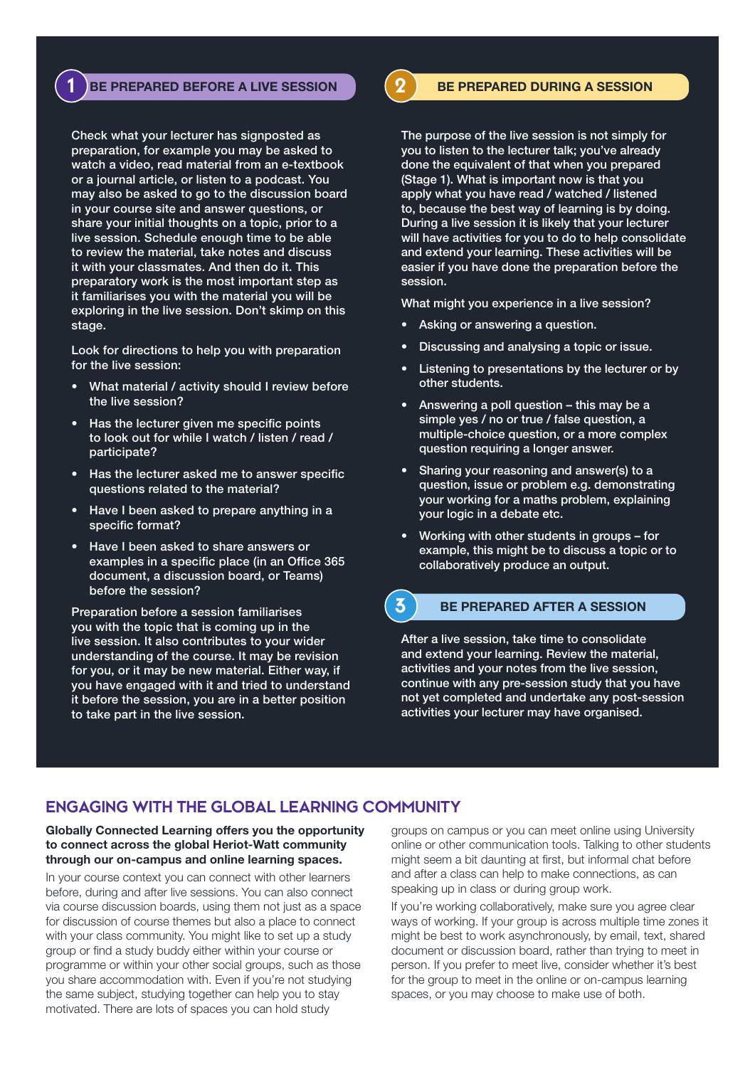### **1** BE PREPARED BEFORE A LIVE SESSION **2** BE PREPARED DURING A SESSION

Check what your lecturer has signposted as preparation, for example you may be asked to watch a video, read material from an e-textbook or a journal article, or listen to a podcast. You may also be asked to go to the discussion board in your course site and answer questions, or share your initial thoughts on a topic, prior to a live session. Schedule enough time to be able to review the material, take notes and discuss it with your classmates. And then do it. This preparatory work is the most important step as it familiarises you with the material you will be exploring in the live session. Don't skimp on this stage.

Look for directions to help you with preparation for the live session:

- What material / activity should I review before the live session?
- Has the lecturer given me specific points to look out for while I watch / listen / read / participate?
- Has the lecturer asked me to answer specific questions related to the material?
- Have I been asked to prepare anything in a specific format?
- Have I been asked to share answers or examples in a specific place (in an Office 365 document, a discussion board, or Teams) before the session?

Preparation before a session familiarises you with the topic that is coming up in the live session. It also contributes to your wider understanding of the course. It may be revision for you, or it may be new material. Either way, if you have engaged with it and tried to understand it before the session, you are in a better position to take part in the live session.

The purpose of the live session is not simply for you to listen to the lecturer talk; you've already done the equivalent of that when you prepared (Stage 1). What is important now is that you apply what you have read / watched / listened to, because the best way of learning is by doing. During a live session it is likely that your lecturer will have activities for you to do to help consolidate and extend your learning. These activities will be easier if you have done the preparation before the session.

What might you experience in a live session?

- Asking or answering a question.
- Discussing and analysing a topic or issue.
- Listening to presentations by the lecturer or by other students.
- Answering a poll question this may be a simple yes / no or true / false question, a multiple-choice question, or a more complex question requiring a longer answer.
- Sharing your reasoning and answer(s) to a question, issue or problem e.g. demonstrating your working for a maths problem, explaining your logic in a debate etc.
- Working with other students in groups for example, this might be to discuss a topic or to collaboratively produce an output.

#### BE PREPARED AFTER A SESSION **3**

After a live session, take time to consolidate and extend your learning. Review the material, activities and your notes from the live session, continue with any pre-session study that you have not yet completed and undertake any post-session activities your lecturer may have organised.

## **ENGAGING WITH THE GLOBAL LEARNING COMMUNITY**

#### Globally Connected Learning offers you the opportunity to connect across the global Heriot-Watt community through our on-campus and online learning spaces.

In your course context you can connect with other learners before, during and after live sessions. You can also connect via course discussion boards, using them not just as a space for discussion of course themes but also a place to connect with your class community. You might like to set up a study group or find a study buddy either within your course or programme or within your other social groups, such as those you share accommodation with. Even if you're not studying the same subject, studying together can help you to stay motivated. There are lots of spaces you can hold study

groups on campus or you can meet online using University online or other communication tools. Talking to other students might seem a bit daunting at first, but informal chat before and after a class can help to make connections, as can speaking up in class or during group work.

If you're working collaboratively, make sure you agree clear ways of working. If your group is across multiple time zones it might be best to work asynchronously, by email, text, shared document or discussion board, rather than trying to meet in person. If you prefer to meet live, consider whether it's best for the group to meet in the online or on-campus learning spaces, or you may choose to make use of both.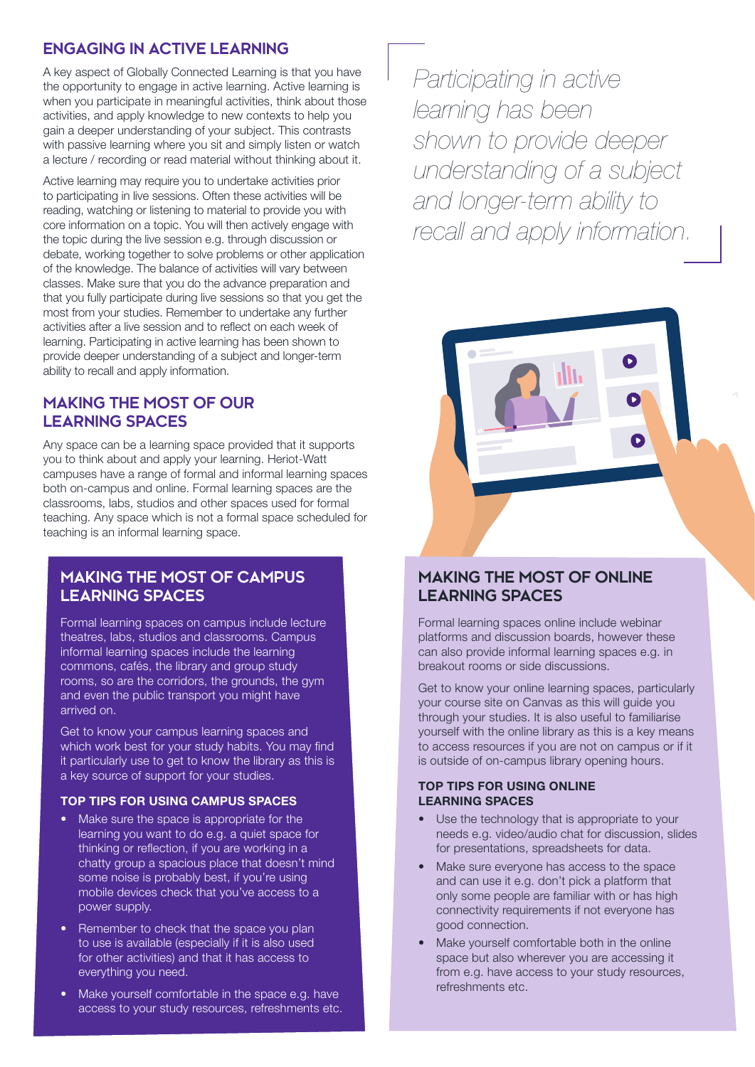## **ENGAGING IN ACTIVE LEARNING**

A key aspect of Globally Connected Learning is that you have the opportunity to engage in active learning. Active learning is when you participate in meaningful activities, think about those activities, and apply knowledge to new contexts to help you gain a deeper understanding of your subject. This contrasts with passive learning where you sit and simply listen or watch a lecture / recording or read material without thinking about it.

Active learning may require you to undertake activities prior to participating in live sessions. Often these activities will be reading, watching or listening to material to provide you with core information on a topic. You will then actively engage with the topic during the live session e.g. through discussion or debate, working together to solve problems or other application of the knowledge. The balance of activities will vary between classes. Make sure that you do the advance preparation and that you fully participate during live sessions so that you get the most from your studies. Remember to undertake any further activities after a live session and to reflect on each week of learning. Participating in active learning has been shown to provide deeper understanding of a subject and longer-term ability to recall and apply information.

## **MAKING THE MOST OF OUR LEARNING SPACES**

Any space can be a learning space provided that it supports you to think about and apply your learning. Heriot-Watt campuses have a range of formal and informal learning spaces both on-campus and online. Formal learning spaces are the classrooms, labs, studios and other spaces used for formal teaching. Any space which is not a formal space scheduled for teaching is an informal learning space.

## **MAKING THE MOST OF CAMPUS LEARNING SPACES**

Formal learning spaces on campus include lecture theatres, labs, studios and classrooms. Campus informal learning spaces include the learning commons, cafés, the library and group study rooms, so are the corridors, the grounds, the gym and even the public transport you might have arrived on.

Get to know your campus learning spaces and which work best for your study habits. You may find it particularly use to get to know the library as this is a key source of support for your studies.

#### TOP TIPS FOR USING CAMPUS SPACES

- Make sure the space is appropriate for the learning you want to do e.g. a quiet space for thinking or reflection, if you are working in a chatty group a spacious place that doesn't mind some noise is probably best, if you're using mobile devices check that you've access to a power supply.
- Remember to check that the space you plan to use is available (especially if it is also used for other activities) and that it has access to everything you need.
- Make yourself comfortable in the space e.g. have access to your study resources, refreshments etc.

*Participating in active learning has been shown to provide deeper understanding of a subject and longer-term ability to recall and apply information.*



Formal learning spaces online include webinar platforms and discussion boards, however these can also provide informal learning spaces e.g. in breakout rooms or side discussions.

Get to know your online learning spaces, particularly your course site on Canvas as this will guide you through your studies. It is also useful to familiarise yourself with the online library as this is a key means to access resources if you are not on campus or if it is outside of on-campus library opening hours.

#### TOP TIPS FOR USING ONLINE LEARNING SPACES

- Use the technology that is appropriate to your needs e.g. video/audio chat for discussion, slides for presentations, spreadsheets for data.
- Make sure everyone has access to the space and can use it e.g. don't pick a platform that only some people are familiar with or has high connectivity requirements if not everyone has good connection.
- Make yourself comfortable both in the online space but also wherever you are accessing it from e.g. have access to your study resources, refreshments etc.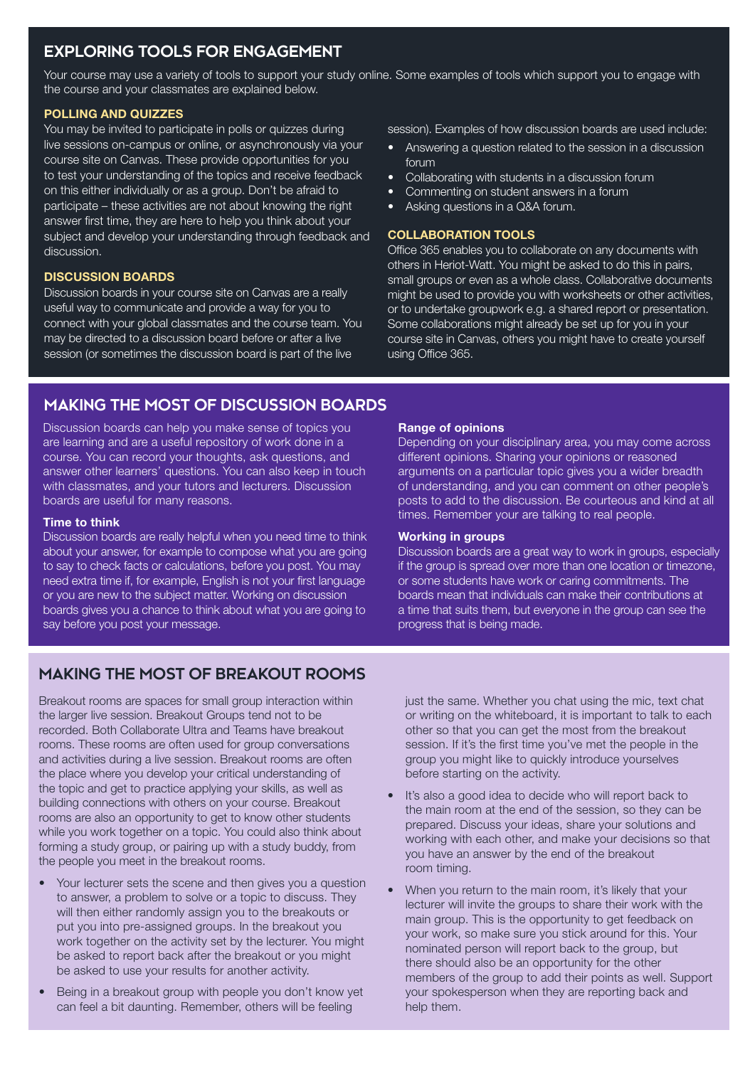## **EXPLORING TOOLS FOR ENGAGEMENT**

Your course may use a variety of tools to support your study online. Some examples of tools which support you to engage with the course and your classmates are explained below.

#### POLLING AND QUIZZES

You may be invited to participate in polls or quizzes during live sessions on-campus or online, or asynchronously via your course site on Canvas. These provide opportunities for you to test your understanding of the topics and receive feedback on this either individually or as a group. Don't be afraid to participate – these activities are not about knowing the right answer first time, they are here to help you think about your subject and develop your understanding through feedback and discussion.

#### DISCUSSION BOARDS

Discussion boards in your course site on Canvas are a really useful way to communicate and provide a way for you to connect with your global classmates and the course team. You may be directed to a discussion board before or after a live session (or sometimes the discussion board is part of the live

session). Examples of how discussion boards are used include:

- Answering a question related to the session in a discussion forum
- Collaborating with students in a discussion forum
- Commenting on student answers in a forum
- Asking questions in a Q&A forum.

#### COLLABORATION TOOLS

Office 365 enables you to collaborate on any documents with others in Heriot-Watt. You might be asked to do this in pairs, small groups or even as a whole class. Collaborative documents might be used to provide you with worksheets or other activities, or to undertake groupwork e.g. a shared report or presentation. Some collaborations might already be set up for you in your course site in Canvas, others you might have to create yourself using Office 365.

## **MAKING THE MOST OF DISCUSSION BOARDS**

Discussion boards can help you make sense of topics you are learning and are a useful repository of work done in a course. You can record your thoughts, ask questions, and answer other learners' questions. You can also keep in touch with classmates, and your tutors and lecturers. Discussion boards are useful for many reasons.

#### Time to think

Discussion boards are really helpful when you need time to think about your answer, for example to compose what you are going to say to check facts or calculations, before you post. You may need extra time if, for example, English is not your first language or you are new to the subject matter. Working on discussion boards gives you a chance to think about what you are going to say before you post your message.

#### Range of opinions

Depending on your disciplinary area, you may come across different opinions. Sharing your opinions or reasoned arguments on a particular topic gives you a wider breadth of understanding, and you can comment on other people's posts to add to the discussion. Be courteous and kind at all times. Remember your are talking to real people.

#### Working in groups

Discussion boards are a great way to work in groups, especially if the group is spread over more than one location or timezone, or some students have work or caring commitments. The boards mean that individuals can make their contributions at a time that suits them, but everyone in the group can see the progress that is being made.

## **MAKING THE MOST OF BREAKOUT ROOMS**

Breakout rooms are spaces for small group interaction within the larger live session. Breakout Groups tend not to be recorded. Both Collaborate Ultra and Teams have breakout rooms. These rooms are often used for group conversations and activities during a live session. Breakout rooms are often the place where you develop your critical understanding of the topic and get to practice applying your skills, as well as building connections with others on your course. Breakout rooms are also an opportunity to get to know other students while you work together on a topic. You could also think about forming a study group, or pairing up with a study buddy, from the people you meet in the breakout rooms.

- Your lecturer sets the scene and then gives you a question to answer, a problem to solve or a topic to discuss. They will then either randomly assign you to the breakouts or put you into pre-assigned groups. In the breakout you work together on the activity set by the lecturer. You might be asked to report back after the breakout or you might be asked to use your results for another activity.
- Being in a breakout group with people you don't know yet can feel a bit daunting. Remember, others will be feeling

just the same. Whether you chat using the mic, text chat or writing on the whiteboard, it is important to talk to each other so that you can get the most from the breakout session. If it's the first time you've met the people in the group you might like to quickly introduce yourselves before starting on the activity.

- It's also a good idea to decide who will report back to the main room at the end of the session, so they can be prepared. Discuss your ideas, share your solutions and working with each other, and make your decisions so that you have an answer by the end of the breakout room timing.
- When you return to the main room, it's likely that your lecturer will invite the groups to share their work with the main group. This is the opportunity to get feedback on your work, so make sure you stick around for this. Your nominated person will report back to the group, but there should also be an opportunity for the other members of the group to add their points as well. Support your spokesperson when they are reporting back and help them.